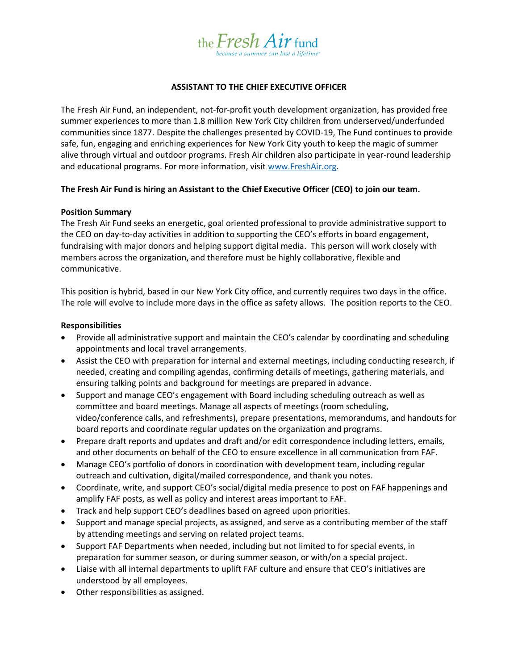

# **ASSISTANT TO THE CHIEF EXECUTIVE OFFICER**

The Fresh Air Fund, an independent, not-for-profit youth development organization, has provided free summer experiences to more than 1.8 million New York City children from underserved/underfunded communities since 1877. Despite the challenges presented by COVID-19, The Fund continues to provide safe, fun, engaging and enriching experiences for New York City youth to keep the magic of summer alive through virtual and outdoor programs. Fresh Air children also participate in year-round leadership and educational programs. For more information, visit [www.FreshAir.org.](http://www.freshair.org/)

# **The Fresh Air Fund is hiring an Assistant to the Chief Executive Officer (CEO) to join our team.**

### **Position Summary**

The Fresh Air Fund seeks an energetic, goal oriented professional to provide administrative support to the CEO on day-to-day activities in addition to supporting the CEO's efforts in board engagement, fundraising with major donors and helping support digital media. This person will work closely with members across the organization, and therefore must be highly collaborative, flexible and communicative.

This position is hybrid, based in our New York City office, and currently requires two days in the office. The role will evolve to include more days in the office as safety allows. The position reports to the CEO.

### **Responsibilities**

- Provide all administrative support and maintain the CEO's calendar by coordinating and scheduling appointments and local travel arrangements.
- Assist the CEO with preparation for internal and external meetings, including conducting research, if needed, creating and compiling agendas, confirming details of meetings, gathering materials, and ensuring talking points and background for meetings are prepared in advance.
- Support and manage CEO's engagement with Board including scheduling outreach as well as committee and board meetings. Manage all aspects of meetings (room scheduling, video/conference calls, and refreshments), prepare presentations, memorandums, and handouts for board reports and coordinate regular updates on the organization and programs.
- Prepare draft reports and updates and draft and/or edit correspondence including letters, emails, and other documents on behalf of the CEO to ensure excellence in all communication from FAF.
- Manage CEO's portfolio of donors in coordination with development team, including regular outreach and cultivation, digital/mailed correspondence, and thank you notes.
- Coordinate, write, and support CEO's social/digital media presence to post on FAF happenings and amplify FAF posts, as well as policy and interest areas important to FAF.
- Track and help support CEO's deadlines based on agreed upon priorities.
- Support and manage special projects, as assigned, and serve as a contributing member of the staff by attending meetings and serving on related project teams.
- Support FAF Departments when needed, including but not limited to for special events, in preparation for summer season, or during summer season, or with/on a special project.
- Liaise with all internal departments to uplift FAF culture and ensure that CEO's initiatives are understood by all employees.
- Other responsibilities as assigned.